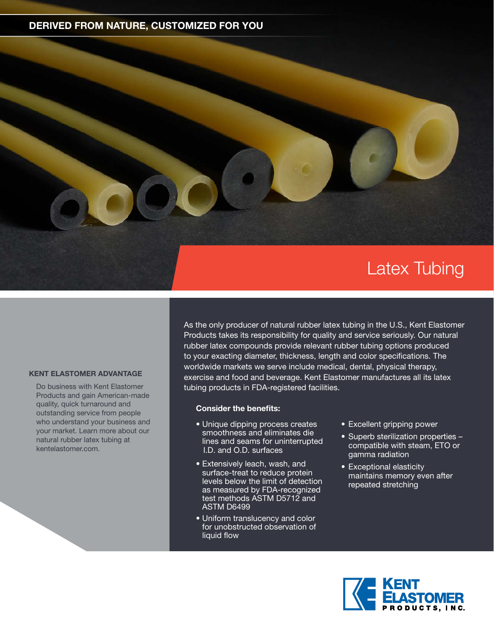### **DERIVED FROM NATURE, CUSTOMIZED FOR YOU**

# Latex Tubing

#### **KENT ELASTOMER ADVANTAGE**

Do business with Kent Elastomer Products and gain American-made quality, quick turnaround and outstanding service from people who understand your business and your market. Learn more about our natural rubber latex tubing at kentelastomer.com.

As the only producer of natural rubber latex tubing in the U.S., Kent Elastomer Products takes its responsibility for quality and service seriously. Our natural rubber latex compounds provide relevant rubber tubing options produced to your exacting diameter, thickness, length and color specifications. The worldwide markets we serve include medical, dental, physical therapy, exercise and food and beverage. Kent Elastomer manufactures all its latex tubing products in FDA-registered facilities.

#### **Consider the benefits:**

- Unique dipping process creates smoothness and eliminates die lines and seams for uninterrupted I.D. and O.D. surfaces
- Extensively leach, wash, and surface-treat to reduce protein levels below the limit of detection as measured by FDA-recognized test methods ASTM D5712 and ASTM D6499
- Uniform translucency and color for unobstructed observation of liquid flow
- Excellent gripping power
- Superb sterilization properties compatible with steam, ETO or gamma radiation
- Exceptional elasticity maintains memory even after repeated stretching